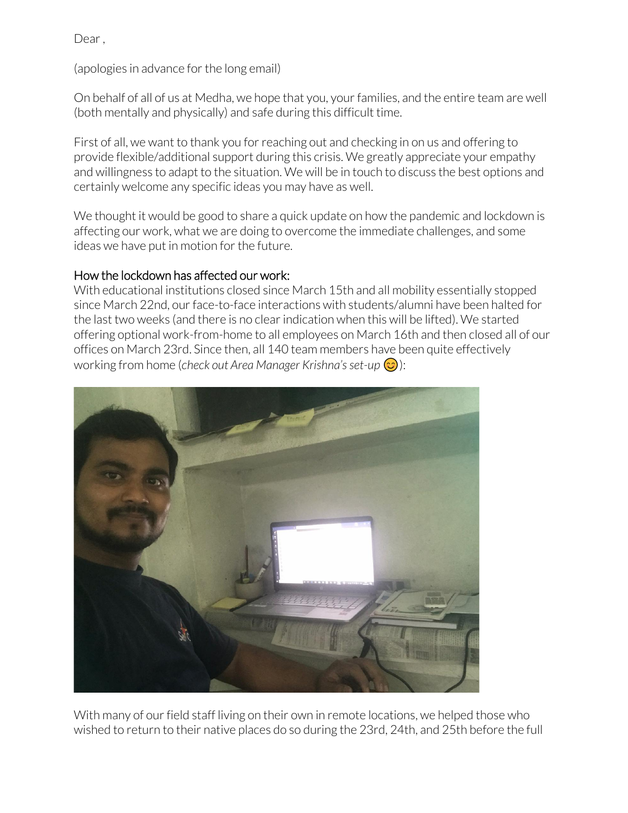Dear ,

(apologies in advance for the long email)

On behalf of all of us at Medha, we hope that you, your families, and the entire team are well (both mentally and physically) and safe during this difficult time.

First of all, we want to thank you for reaching out and checking in on us and offering to provide flexible/additional support during this crisis. We greatly appreciate your empathy and willingness to adapt to the situation. We will be in touch to discuss the best options and certainly welcome any specific ideas you may have as well.

We thought it would be good to share a quick update on how the pandemic and lockdown is affecting our work, what we are doing to overcome the immediate challenges, and some ideas we have put in motion for the future.

## How the lockdown has affected our work:

With educational institutions closed since March 15th and all mobility essentially stopped since March 22nd, our face-to-face interactions with students/alumni have been halted for the last two weeks (and there is no clear indication when this will be lifted). We started offering optional work-from-home to all employees on March 16th and then closed all of our offices on March 23rd. Since then, all 140 team members have been quite effectively working from home (*check out Area Manager Krishna's set-up* ):



With many of our field staff living on their own in remote locations, we helped those who wished to return to their native places do so during the 23rd, 24th, and 25th before the full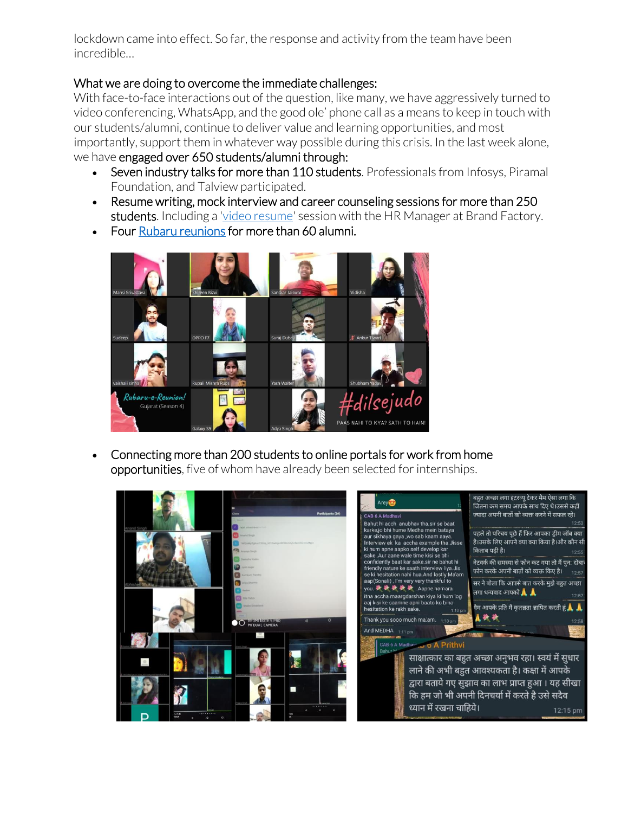lockdown came into effect. So far, the response and activity from the team have been incredible…

## What we are doing to overcome the immediate challenges:

With face-to-face interactions out of the question, like many, we have aggressively turned to video conferencing, WhatsApp, and the good ole' phone call as a means to keep in touch with our students/alumni, continue to deliver value and learning opportunities, and most importantly, support them in whatever way possible during this crisis. In the last week alone, we have engaged over 650 students/alumni through:

- Seven industry talks for more than 110 students. Professionals from Infosys, Piramal Foundation, and Talview participated.
- Resume writing, mock interview and career counseling sessions for more than 250 students. Including a ['video resume'](https://medhacorp-my.sharepoint.com/:v:/g/personal/cturillo_medha_org_in/EQWL-BKHb0hBljuTopPTgvQBocvaMJ7r4nVpLXRc-fOlyw?e=LFRWzF) session with the HR Manager at Brand Factory.
- Four [Rubaru reunions](https://www.tiktok.com/@medhaorg/video/6809194452205210882?u_code=d9ccfkgdacgae9&preview_pb=0&language=en×tamp=1585389790&user_id=6761663800271012869&utm_source=copy&utm_campaign=client_share&utm_medium=android&share_app_name=musically&share_iid=6808156899340371713&source=h5_m) for more than 60 alumni.



• Connecting more than 200 students to online portals for work from home opportunities, five of whom have already been selected for internships.

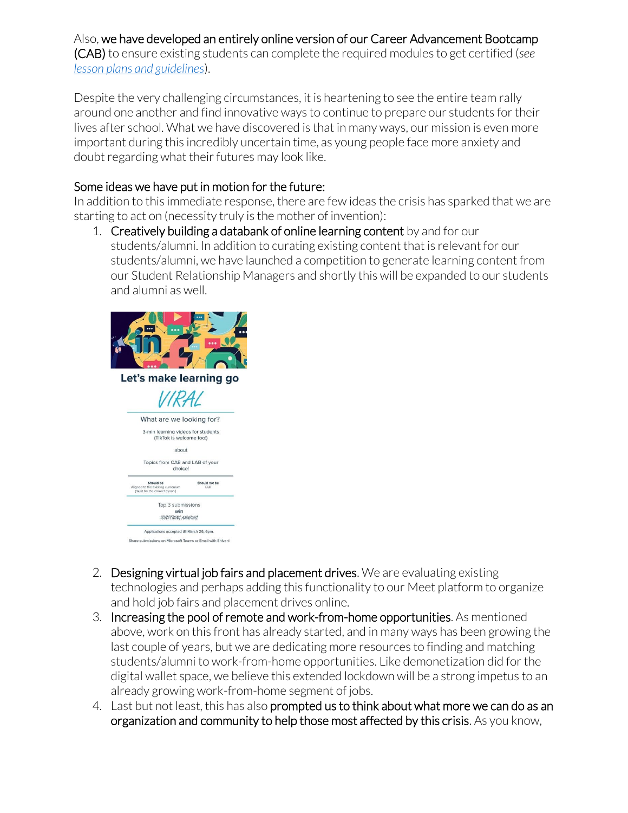## Also, we have developed an entirely online version of our Career Advancement Bootcamp

(CAB) to ensure existing students can complete the required modules to get certified (*see [lesson plans and guidelines](https://medhacorp-my.sharepoint.com/:b:/g/personal/cturillo_medha_org_in/Ea6uQSOdBFJHjfVFcNHV1BcB_zS3K09SvLziTEHyxST-Kw?e=zFyjeM)*).

Despite the very challenging circumstances, it is heartening to see the entire team rally around one another and find innovative ways to continue to prepare our students for their lives after school. What we have discovered is that in many ways, our mission is even more important during this incredibly uncertain time, as young people face more anxiety and doubt regarding what their futures may look like.

## Some ideas we have put in motion for the future:

In addition to this immediate response, there are few ideas the crisis has sparked that we are starting to act on (necessity truly is the mother of invention):

1. Creatively building a databank of online learning content by and for our students/alumni. In addition to curating existing content that is relevant for our students/alumni, we have launched a competition to generate learning content from our Student Relationship Managers and shortly this will be expanded to our students and alumni as well.



- 2. Designing virtual job fairs and placement drives. We are evaluating existing technologies and perhaps adding this functionality to our Meet platform to organize and hold job fairs and placement drives online.
- 3. Increasing the pool of remote and work-from-home opportunities. As mentioned above, work on this front has already started, and in many ways has been growing the last couple of years, but we are dedicating more resources to finding and matching students/alumni to work-from-home opportunities. Like demonetization did for the digital wallet space, we believe this extended lockdown will be a strong impetus to an already growing work-from-home segment of jobs.
- 4. Last but not least, this has also prompted us to think about what more we can do as an organization and community to help those most affected by this crisis. As you know,